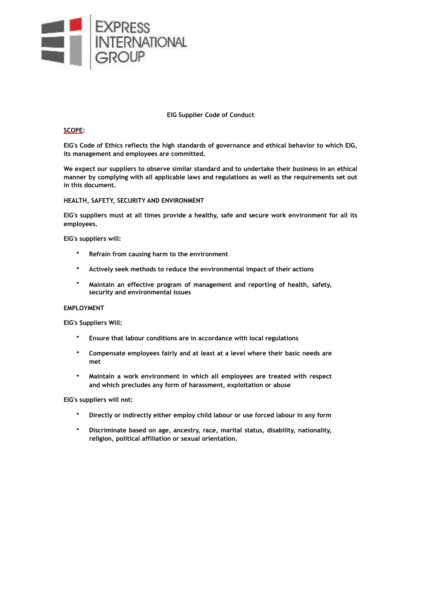

## **EIG Supplier Code of Conduct**

## **SCOPE:**

**EIG's Code of Ethics reflects the high standards of governance and ethical behavior to which EIG, its management and employees are committed.** 

**We expect our suppliers to observe similar standard and to undertake their business in an ethical manner by complying with all applicable laws and regulations as well as the requirements set out in this document.** 

## **HEALTH, SAFETY, SECURITY AND ENVIRONMENT**

**EIG's suppliers must at all times provide a healthy, safe and secure work environment for all its employees.** 

**EIG's suppliers will:** 

- **Refrain from causing harm to the environment**
- **Actively seek methods to reduce the environmental impact of their actions**
- **Maintain an effective program of management and reporting of health, safety, security and environmental issues**

#### **EMPLOYMENT**

**EIG's Suppliers Will:** 

- **Ensure that labour conditions are in accordance with local regulations**
- **Compensate employees fairly and at least at a level where their basic needs are met**
- **Maintain a work environment in which all employees are treated with respect and which precludes any form of harassment, exploitation or abuse**

**EIG's suppliers will not:** 

- **Directly or indirectly either employ child labour or use forced labour in any form**
- **Discriminate based on age, ancestry, race, marital status, disability, nationality, religion, political affiliation or sexual orientation.**